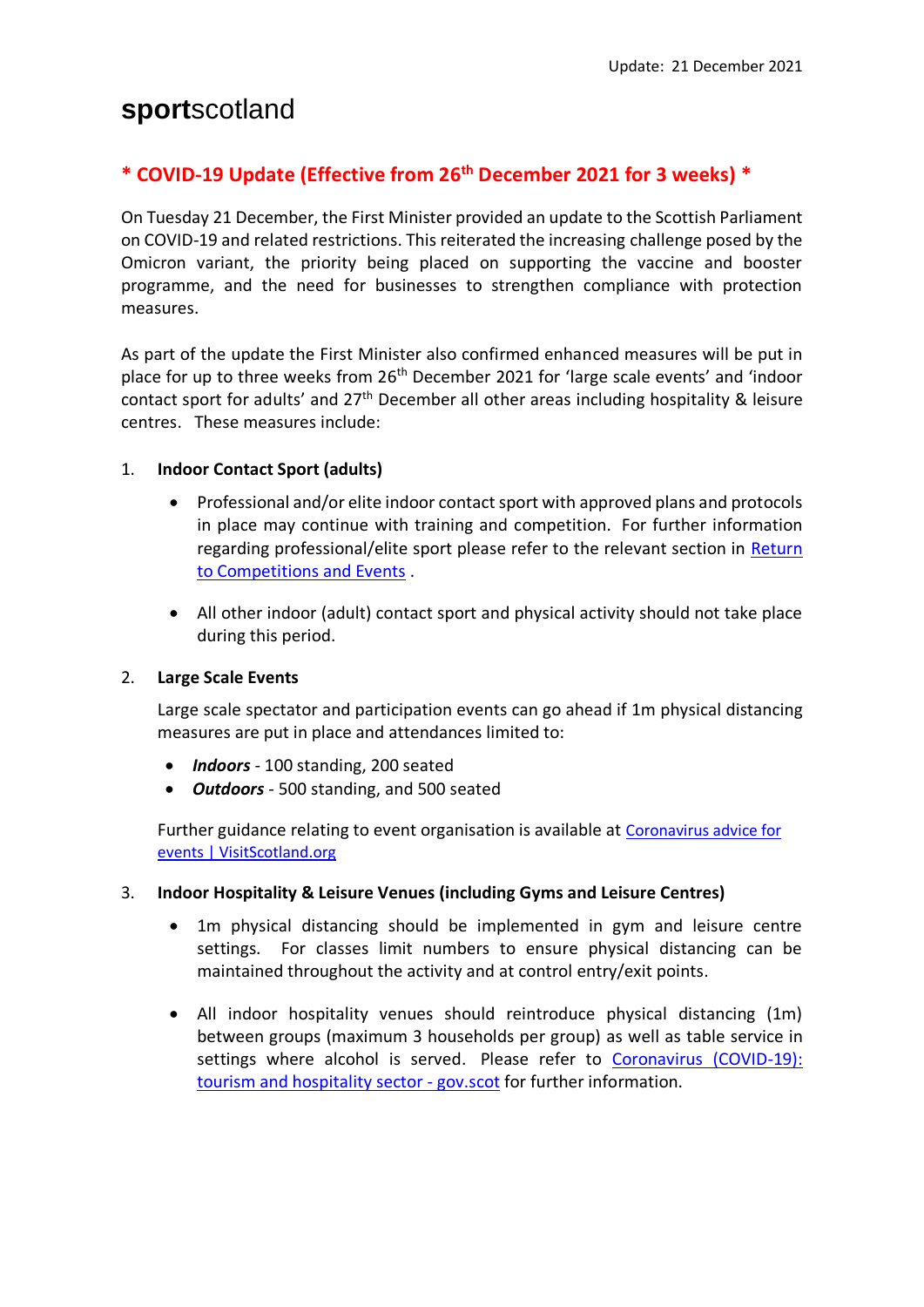# **sport**scotland

## **\* COVID-19 Update (Effective from 26th December 2021 for 3 weeks) \***

On Tuesday 21 December, the First Minister provided an update to the Scottish Parliament on COVID-19 and related restrictions. This reiterated the increasing challenge posed by the Omicron variant, the priority being placed on supporting the vaccine and booster programme, and the need for businesses to strengthen compliance with protection measures.

As part of the update the First Minister also confirmed enhanced measures will be put in place for up to three weeks from 26th December 2021 for 'large scale events' and 'indoor contact sport for adults' and 27<sup>th</sup> December all other areas including hospitality & leisure centres. These measures include:

### 1. **Indoor Contact Sport (adults)**

- Professional and/or elite indoor contact sport with approved plans and protocols in place may continue with training and competition. For further information regarding professional/elite sport please refer to the relevant section in [Return](https://sportscotland.org.uk/covid-19/return-to-competitions-and-events/)  [to Competitions and Events](https://sportscotland.org.uk/covid-19/return-to-competitions-and-events/) .
- All other indoor (adult) contact sport and physical activity should not take place during this period.

#### 2. **Large Scale Events**

Large scale spectator and participation events can go ahead if 1m physical distancing measures are put in place and attendances limited to:

- *Indoors* 100 standing, 200 seated
- *Outdoors* 500 standing, and 500 seated

Further guidance relating to event organisation is available at Coronavirus advice for [events | VisitScotland.org](https://www.visitscotland.org/events/advice-materials/coronavirus#current)

#### 3. **Indoor Hospitality & Leisure Venues (including Gyms and Leisure Centres)**

- 1m physical distancing should be implemented in gym and leisure centre settings. For classes limit numbers to ensure physical distancing can be maintained throughout the activity and at control entry/exit points.
- All indoor hospitality venues should reintroduce physical distancing (1m) between groups (maximum 3 households per group) as well as table service in settings where alcohol is served. Please refer to [Coronavirus \(COVID-19\):](https://www.gov.scot/publications/coronavirus-covid-19-tourism-and-hospitality-sector-guidance/)  [tourism and hospitality sector -](https://www.gov.scot/publications/coronavirus-covid-19-tourism-and-hospitality-sector-guidance/) gov.scot for further information.